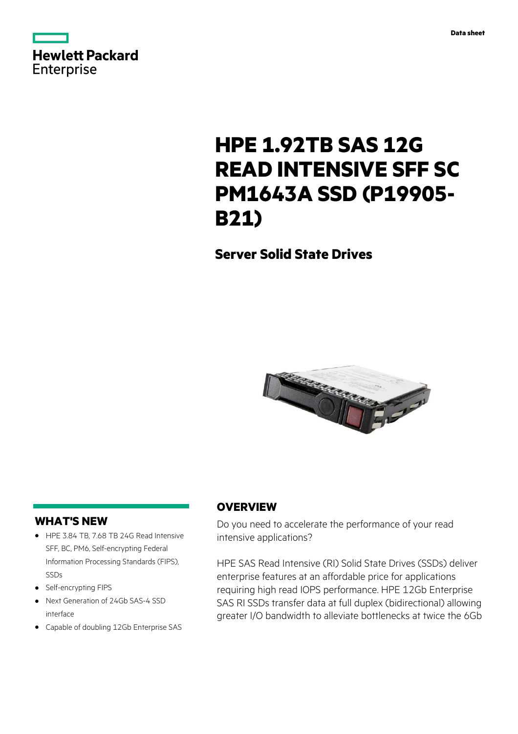



# **HPE 1.92TB SAS 12G READ INTENSIVE SFF SC PM1643A SSD (P19905- B21)**

**Server Solid State Drives**



## **WHAT'S NEW**

- **·** HPE 3.84 TB, 7.68 TB 24G Read Intensive SFF, BC, PM6, Self-encrypting Federal Information Processing Standards (FIPS), SSDs
- **·** Self-encrypting FIPS
- **·** Next Generation of 24Gb SAS-4 SSD interface
- **·** Capable of doubling 12Gb Enterprise SAS

# **OVERVIEW**

Do you need to accelerate the performance of your read intensive applications?

HPE SAS Read Intensive (RI) Solid State Drives (SSDs) deliver enterprise features at an affordable price for applications requiring high read IOPS performance. HPE 12Gb Enterprise SAS RI SSDs transfer data at full duplex (bidirectional) allowing greater I/O bandwidth to alleviate bottlenecks at twice the 6Gb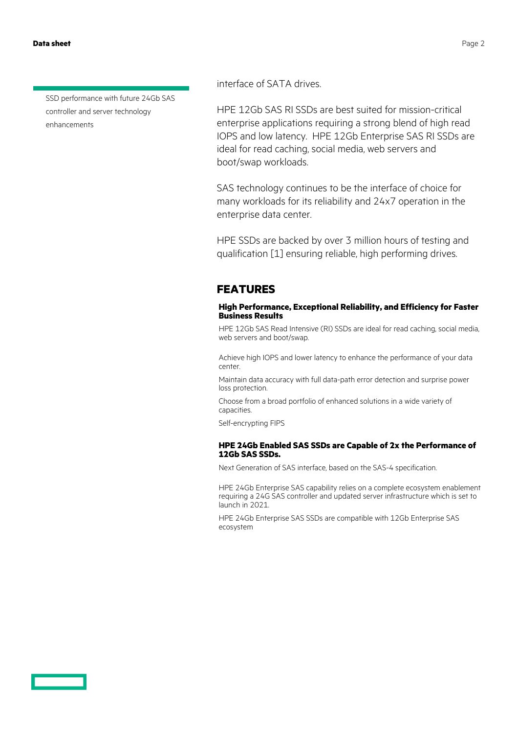**Data sheet** Page 2

SSD performance with future 24Gb SAS controller and server technology enhancements

interface of SATA drives.

HPE 12Gb SAS RI SSDs are best suited for mission-critical enterprise applications requiring a strong blend of high read IOPS and low latency. HPE 12Gb Enterprise SAS RI SSDs are ideal for read caching, social media, web servers and boot/swap workloads.

SAS technology continues to be the interface of choice for many workloads for its reliability and 24x7 operation in the enterprise data center.

HPE SSDs are backed by over 3 million hours of testing and qualification [1] ensuring reliable, high performing drives.

### **FEATURES**

### **High Performance, Exceptional Reliability, and Efficiency for Faster Business Results**

HPE 12Gb SAS Read Intensive (RI) SSDs are ideal for read caching, social media, web servers and boot/swap.

Achieve high IOPS and lower latency to enhance the performance of your data center.

Maintain data accuracy with full data-path error detection and surprise power loss protection.

Choose from a broad portfolio of enhanced solutions in a wide variety of capacities.

Self-encrypting FIPS

### **HPE 24Gb Enabled SAS SSDs are Capable of 2x the Performance of 12Gb SAS SSDs.**

Next Generation of SAS interface, based on the SAS-4 specification.

HPE 24Gb Enterprise SAS capability relies on a complete ecosystem enablement requiring a 24G SAS controller and updated server infrastructure which is set to launch in 2021.

HPE 24Gb Enterprise SAS SSDs are compatible with 12Gb Enterprise SAS ecosystem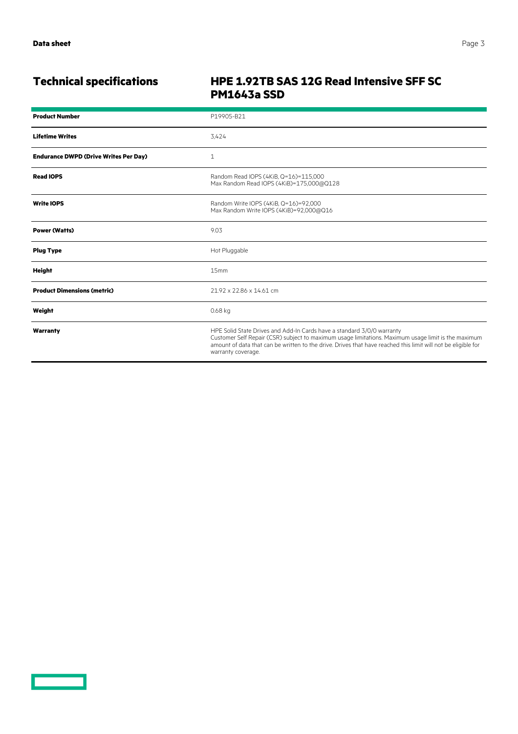<u>a sa san</u>

# **Technical specifications HPE 1.92TB SAS 12G Read Intensive SFF SC PM1643a SSD**

| <b>Product Number</b>                        | P19905-B21                                                                                                                                                                                                                                                                                                           |
|----------------------------------------------|----------------------------------------------------------------------------------------------------------------------------------------------------------------------------------------------------------------------------------------------------------------------------------------------------------------------|
| <b>Lifetime Writes</b>                       | 3.424                                                                                                                                                                                                                                                                                                                |
| <b>Endurance DWPD (Drive Writes Per Day)</b> | 1                                                                                                                                                                                                                                                                                                                    |
| <b>Read IOPS</b>                             | Random Read IOPS (4KiB, Q=16)=115,000<br>Max Random Read IOPS (4KiB)=175,000@Q128                                                                                                                                                                                                                                    |
| <b>Write IOPS</b>                            | Random Write IOPS (4KiB, Q=16)=92,000<br>Max Random Write IOPS (4KiB)=92,000@Q16                                                                                                                                                                                                                                     |
| <b>Power (Watts)</b>                         | 9.03                                                                                                                                                                                                                                                                                                                 |
| <b>Plug Type</b>                             | Hot Pluggable                                                                                                                                                                                                                                                                                                        |
| <b>Height</b>                                | 15mm                                                                                                                                                                                                                                                                                                                 |
| <b>Product Dimensions (metric)</b>           | 21.92 x 22.86 x 14.61 cm                                                                                                                                                                                                                                                                                             |
| Weight                                       | 0.68 kg                                                                                                                                                                                                                                                                                                              |
| Warranty                                     | HPE Solid State Drives and Add-In Cards have a standard 3/0/0 warranty<br>Customer Self Repair (CSR) subject to maximum usage limitations. Maximum usage limit is the maximum<br>amount of data that can be written to the drive. Drives that have reached this limit will not be eligible for<br>warranty coverage. |